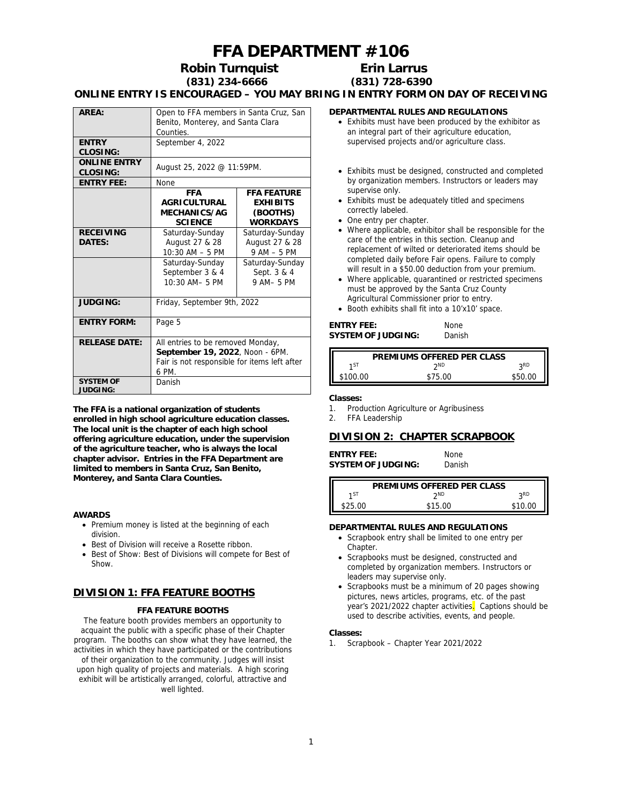# **FFA DEPARTMENT #106**

**Robin Turnquist Erin Larrus**

# **(831) 234-6666 (831) 728-6390**

**ONLINE ENTRY IS ENCOURAGED – YOU MAY BRING IN ENTRY FORM ON DAY OF RECEIVING**

| ARFA:                           | Open to FFA members in Santa Cruz, San<br>Benito, Monterey, and Santa Clara<br>Counties.                                      |                                                                      |
|---------------------------------|-------------------------------------------------------------------------------------------------------------------------------|----------------------------------------------------------------------|
| <b>ENTRY</b><br>CLOSING:        | September 4, 2022                                                                                                             |                                                                      |
| <b>ONLINE ENTRY</b><br>CLOSING: | August 25, 2022 @ 11:59PM.                                                                                                    |                                                                      |
| <b>ENTRY FEE:</b>               | None                                                                                                                          |                                                                      |
|                                 | <b>FFA</b><br><b>AGRICULTURAL</b><br>MECHANICS/AG<br><b>SCIENCE</b>                                                           | <b>FFA FEATURE</b><br><b>EXHIBITS</b><br>(BOOTHS)<br><b>WORKDAYS</b> |
| <b>RECEIVING</b><br>DATES:      | Saturday-Sunday<br>August 27 & 28<br>$10:30$ AM $-5$ PM                                                                       | Saturday-Sunday<br>August 27 & 28<br>$9AM - 5PM$                     |
|                                 | Saturday-Sunday<br>September 3 & 4<br>10:30 AM-5 PM                                                                           | Saturday-Sunday<br>Sept. 3 & 4<br>9 AM-5 PM                          |
| <b>JUDGING:</b>                 | Friday, September 9th, 2022                                                                                                   |                                                                      |
| <b>ENTRY FORM:</b>              | Page 5                                                                                                                        |                                                                      |
| <b>RELEASE DATE:</b>            | All entries to be removed Monday,<br>September 19, 2022, Noon - 6PM.<br>Fair is not responsible for items left after<br>6 PM. |                                                                      |
| <b>SYSTEM OF</b><br>JUDGING:    | Danish                                                                                                                        |                                                                      |

**The FFA is a national organization of students enrolled in high school agriculture education classes. The local unit is the chapter of each high school offering agriculture education, under the supervision of the agriculture teacher, who is always the local chapter advisor. Entries in the FFA Department are limited to members in Santa Cruz, San Benito, Monterey, and Santa Clara Counties.**

#### **AWARDS**

- Premium money is listed at the beginning of each division.
- Best of Division will receive a Rosette ribbon.
- Best of Show: Best of Divisions will compete for Best of Show.

## **DIVISION 1: FFA FEATURE BOOTHS**

#### **FFA FEATURE BOOTHS**

The feature booth provides members an opportunity to acquaint the public with a specific phase of their Chapter program. The booths can show what they have learned, the activities in which they have participated or the contributions of their organization to the community. Judges will insist upon high quality of projects and materials. A high scoring exhibit will be artistically arranged, colorful, attractive and well lighted.

#### **DEPARTMENTAL RULES AND REGULATIONS**

- Exhibits must have been produced by the exhibitor as an integral part of their agriculture education, supervised projects and/or agriculture class.
- Exhibits must be designed, constructed and completed by organization members. Instructors or leaders may supervise only.
- Exhibits must be adequately titled and specimens correctly labeled.
- One entry per chapter.
- Where applicable, exhibitor shall be responsible for the care of the entries in this section. Cleanup and replacement of wilted or deteriorated items should be completed daily before Fair opens. Failure to comply will result in a \$50.00 deduction from your premium.
- Where applicable, quarantined or restricted specimens must be approved by the Santa Cruz County Agricultural Commissioner prior to entry.
- Booth exhibits shall fit into a 10'x10' space.

| ENTRY FEE:         | <b>None</b> |
|--------------------|-------------|
| SYSTEM OF JUDGING: | Danish      |

|          | PREMIUMS OFFERED PER CLASS |         |
|----------|----------------------------|---------|
| 1ST      | ንND                        | ιSΒ     |
| \$100.00 | \$75.00                    | \$50.00 |

**Classes:**

- 1. Production Agriculture or Agribusiness
- 2. FFA Leadership

#### **DIVISION 2: CHAPTER SCRAPBOOK**

**ENTRY FEE:** None<br>SYSTEM OF JUDGING: Danish **SYSTEM OF JUDGING:** 

|         | PREMIUMS OFFERED PER CLASS |                 |
|---------|----------------------------|-----------------|
| 1ST     | ን <sup>ND</sup>            | 2 <sub>RD</sub> |
|         |                            |                 |
| \$25.00 | \$15.00                    | \$10.00         |

#### **DEPARTMENTAL RULES AND REGULATIONS**

- Scrapbook entry shall be limited to one entry per Chapter.
- Scrapbooks must be designed, constructed and completed by organization members. Instructors or leaders may supervise only.
- Scrapbooks must be a minimum of 20 pages showing pictures, news articles, programs, etc. of the past year's 2021/2022 chapter activities. Captions should be used to describe activities, events, and people.

#### **Classes:**

1. Scrapbook – Chapter Year 2021/2022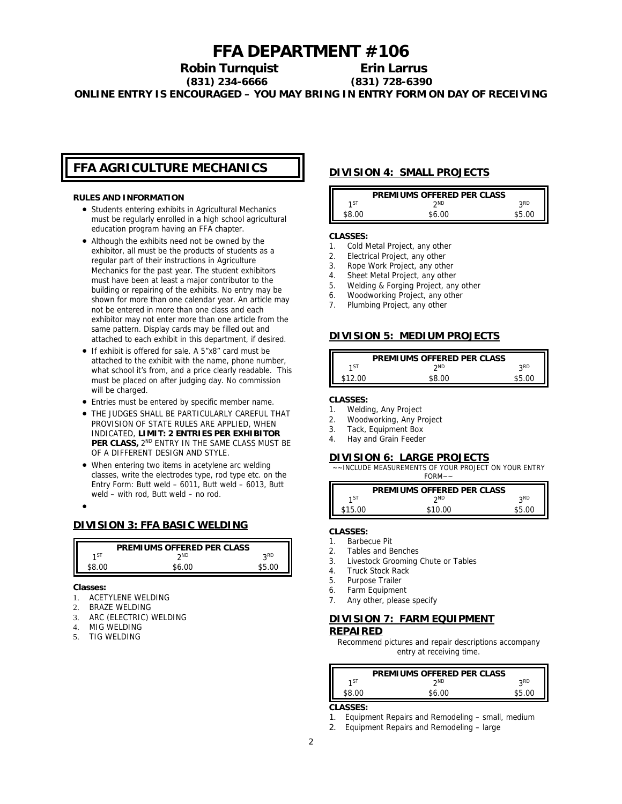## **FFA DEPARTMENT #106**

**Robin Turnquist Erin Larrus (831) 234-6666 (831) 728-6390 ONLINE ENTRY IS ENCOURAGED – YOU MAY BRING IN ENTRY FORM ON DAY OF RECEIVING**

## **FFA AGRICULTURE MECHANICS**

#### **RULES AND INFORMATION**

- Students entering exhibits in Agricultural Mechanics must be regularly enrolled in a high school agricultural education program having an FFA chapter.
- Although the exhibits need not be owned by the exhibitor, all must be the products of students as a regular part of their instructions in Agriculture Mechanics for the past year. The student exhibitors must have been at least a major contributor to the building or repairing of the exhibits. No entry may be shown for more than one calendar year. An article may not be entered in more than one class and each exhibitor may not enter more than one article from the same pattern. Display cards may be filled out and attached to each exhibit in this department, if desired.
- If exhibit is offered for sale. A 5"x8" card must be attached to the exhibit with the name, phone number, what school it's from, and a price clearly readable. This must be placed on after judging day. No commission will be charged.
- Entries must be entered by specific member name.
- THE JUDGES SHALL BE PARTICULARLY CAREFUL THAT PROVISION OF STATE RULES ARE APPLIED, WHEN INDICATED, **LIMIT: 2 ENTRIES PER EXHIBITOR PER CLASS,** 2ND ENTRY IN THE SAME CLASS MUST BE OF A DIFFERENT DESIGN AND STYLE.
- When entering two items in acetylene arc welding classes, write the electrodes type, rod type etc. on the Entry Form: Butt weld – 6011, Butt weld – 6013, Butt weld – with rod, Butt weld – no rod.

 $\bullet$ 

## **DIVISION 3: FFA BASIC WELDING**

|     | PREMIUMS OFFERED PER CLASS |            |
|-----|----------------------------|------------|
| 1ST | ንND                        | <b>ORD</b> |
|     | ፍሬ ሰበ                      |            |

**Classes:**

- 1. ACETYLENE WELDING
- 2. BRAZE WELDING
- 3. ARC (ELECTRIC) WELDING
- 4. MIG WELDING
- 5. TIG WELDING

## **DIVISION 4: SMALL PROJECTS**

|      | PREMIUMS OFFERED PER CLASS |            |
|------|----------------------------|------------|
| 1 ST | ንND                        | <b>2RD</b> |
|      | \$6.00                     |            |

**CLASSES:**

- 1. Cold Metal Project, any other
- 2. Electrical Project, any other
- 3. Rope Work Project, any other
- 4. Sheet Metal Project, any other
- 5. Welding & Forging Project, any other
- 6. Woodworking Project, any other
- 7. Plumbing Project, any other

### **DIVISION 5: MEDIUM PROJECTS**

|         | PREMIUMS OFFERED PER CLASS |      |
|---------|----------------------------|------|
| 1 ST    | วND                        | o RD |
| \$12.00 | ፍՋ በበ                      |      |

**CLASSES:**

- 1. Welding, Any Project
- 2. Woodworking, Any Project
- 3. Tack, Equipment Box
- 4. Hay and Grain Feeder

## **DIVISION 6: LARGE PROJECTS**

~~INCLUDE MEASUREMENTS OF YOUR PROJECT ON YOUR ENTRY

| PREMIUMS OFFERED PER CLASS      |  |
|---------------------------------|--|
| <b>2RD</b><br>1ST<br><b>2ND</b> |  |
| \$5.00<br>\$15.00<br>\$10.00    |  |

**CLASSES:**

- 1. Barbecue Pit
- 2. Tables and Benches
- 3. Livestock Grooming Chute or Tables
- 
- 4. Truck Stock Rack<br>5. Purpose Trailer Purpose Trailer
- 6. Farm Equipment
- 7. Any other, please specify

## **DIVISION 7: FARM EQUIPMENT**

#### **REPAIRED**

Recommend pictures and repair descriptions accompany entry at receiving time.

|                 | PREMIUMS OFFERED PER CLASS |                 |
|-----------------|----------------------------|-----------------|
| 1 <sub>51</sub> | <b>CND</b>                 | o <sub>RD</sub> |
| \$8.00          | \$6.00                     | \$5.00          |
|                 |                            |                 |

**CLASSES:**

- 1. Equipment Repairs and Remodeling small, medium
- 2. Equipment Repairs and Remodeling large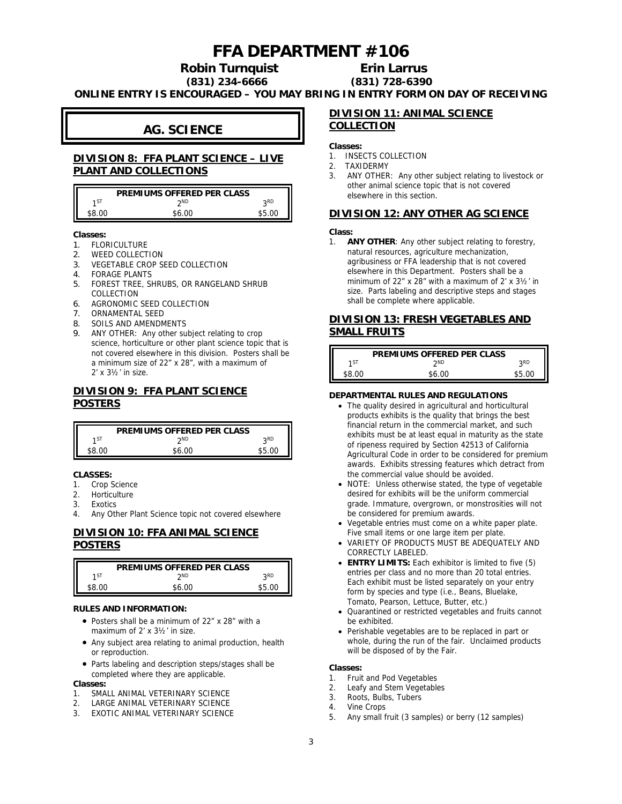# **FFA DEPARTMENT #106**

**Robin Turnquist Erin Larrus**

**(831) 234-6666 (831) 728-6390**

**ONLINE ENTRY IS ENCOURAGED – YOU MAY BRING IN ENTRY FORM ON DAY OF RECEIVING**

## **AG. SCIENCE**

## **DIVISION 8: FFA PLANT SCIENCE – LIVE PLANT AND COLLECTIONS**

|       | PREMIUMS OFFERED PER CLASS |            |
|-------|----------------------------|------------|
| 1ST   | <b>ንND</b>                 | <b>oRD</b> |
| ፍՋ በር | ፍራ ሰበ                      | ഹ          |

**Classes:**

- 1. FLORICULTURE
- 2. WEED COLLECTION
- 3. VEGETABLE CROP SEED COLLECTION
- 4. FORAGE PLANTS
- 5. FOREST TREE, SHRUBS, OR RANGELAND SHRUB COLLECTION
- 6. AGRONOMIC SEED COLLECTION
- 7. ORNAMENTAL SEED
- 8. SOILS AND AMENDMENTS
- 9. ANY OTHER: Any other subject relating to crop science, horticulture or other plant science topic that is not covered elsewhere in this division. Posters shall be a minimum size of 22" x 28", with a maximum of 2' x 3½' in size.

## **DIVISION 9: FFA PLANT SCIENCE POSTERS**

|                 | PREMIUMS OFFERED PER CLASS |            |
|-----------------|----------------------------|------------|
| 1 <sub>51</sub> | ንND                        | <b>2RD</b> |
| SR UU           | \$6.00                     | RE UU      |

**CLASSES:**

- 1. Crop Science
- 2. Horticulture
- 3. Exotics
- 4. Any Other Plant Science topic not covered elsewhere

## **DIVISION 10: FFA ANIMAL SCIENCE**

## **POSTERS**

|                 | PREMIUMS OFFERED PER CLASS |            |
|-----------------|----------------------------|------------|
| 1 <sub>51</sub> | ንND                        | <b>ORD</b> |
| SR UU           | ፍሬ ሰበ                      | ፍ ፍ        |

**RULES AND INFORMATION:**

- Posters shall be a minimum of 22" x 28" with a maximum of 2' x 3½' in size.
- Any subject area relating to animal production, health or reproduction.
- Parts labeling and description steps/stages shall be completed where they are applicable.

**Classes:**

- 1. SMALL ANIMAL VETERINARY SCIENCE
- 2. LARGE ANIMAL VETERINARY SCIENCE
- 3. EXOTIC ANIMAL VETERINARY SCIENCE

### **DIVISION 11: ANIMAL SCIENCE COLLECTION**

**Classes:**

- 1. INSECTS COLLECTION
- 2. TAXIDERMY
- 3. ANY OTHER: Any other subject relating to livestock or other animal science topic that is not covered elsewhere in this section.

## **DIVISION 12: ANY OTHER AG SCIENCE**

**Class:**

1. **ANY OTHER**: Any other subject relating to forestry, natural resources, agriculture mechanization, agribusiness or FFA leadership that is not covered elsewhere in this Department. Posters shall be a minimum of 22" x 28" with a maximum of 2' x 3½' in size. Parts labeling and descriptive steps and stages shall be complete where applicable.

## **DIVISION 13: FRESH VEGETABLES AND SMALL FRUITS**

|        | PREMIUMS OFFERED PER CLASS |            |
|--------|----------------------------|------------|
| 1ST    | ንND                        | <b>2RD</b> |
| \$8.00 | \$6.00                     | \$5.00     |

#### **DEPARTMENTAL RULES AND REGULATIONS**

- The quality desired in agricultural and horticultural products exhibits is the quality that brings the best financial return in the commercial market, and such exhibits must be at least equal in maturity as the state of ripeness required by Section 42513 of California Agricultural Code in order to be considered for premium awards. Exhibits stressing features which detract from the commercial value should be avoided.
- NOTE: Unless otherwise stated, the type of vegetable desired for exhibits will be the uniform commercial grade. Immature, overgrown, or monstrosities will not be considered for premium awards.
- Vegetable entries must come on a white paper plate. Five small items or one large item per plate.
- VARIETY OF PRODUCTS MUST BE ADEQUATELY AND CORRECTLY LABELED.
- **ENTRY LIMITS:** Each exhibitor is limited to five (5) entries per class and no more than 20 total entries. Each exhibit must be listed separately on your entry form by species and type (i.e., Beans, Bluelake, Tomato, Pearson, Lettuce, Butter, etc.)
- Quarantined or restricted vegetables and fruits cannot be exhibited.
- Perishable vegetables are to be replaced in part or whole, during the run of the fair. Unclaimed products will be disposed of by the Fair.

**Classes:**

- 1. Fruit and Pod Vegetables
- 2. Leafy and Stem Vegetables
- 3. Roots, Bulbs, Tubers
- 4. Vine Crops
- 5. Any small fruit (3 samples) or berry (12 samples)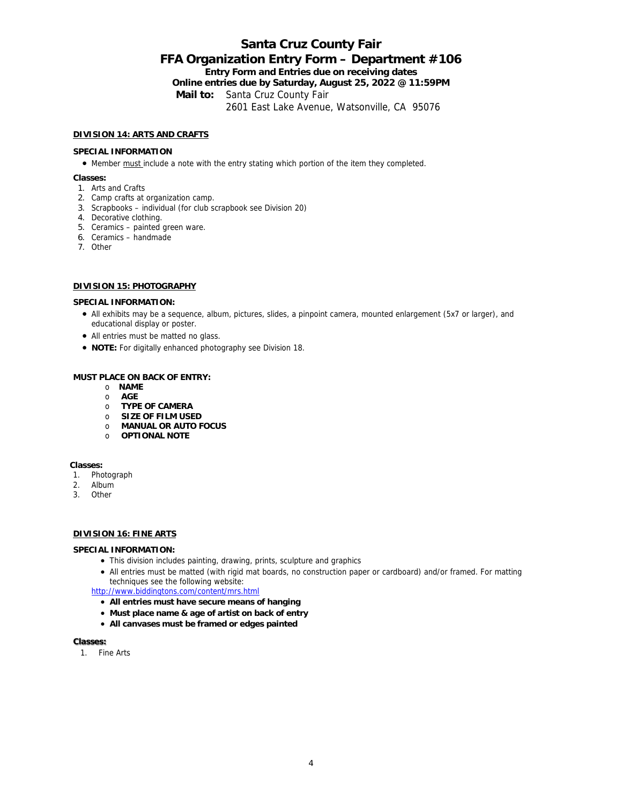## **Santa Cruz County Fair FFA Organization Entry Form – Department #106 Entry Form and Entries due on receiving dates Online entries due by Saturday, August 25, 2022 @ 11:59PM Mail to:** Santa Cruz County Fair 2601 East Lake Avenue, Watsonville, CA 95076

#### **DIVISION 14: ARTS AND CRAFTS**

#### **SPECIAL INFORMATION**

• Member must include a note with the entry stating which portion of the item they completed.

**Classes:**

- 1. Arts and Crafts
- 2. Camp crafts at organization camp.
- 3. Scrapbooks individual (for club scrapbook see Division 20)
- 4. Decorative clothing.
- 5. Ceramics painted green ware.
- 6. Ceramics handmade
- 7. Other

#### **DIVISION 15: PHOTOGRAPHY**

**SPECIAL INFORMATION:**

- All exhibits may be a sequence, album, pictures, slides, a pinpoint camera, mounted enlargement (5x7 or larger), and educational display or poster.
- All entries must be matted no glass.
- **NOTE:** For digitally enhanced photography see Division 18.

### **MUST PLACE ON BACK OF ENTRY:**

- o **NAME**
- o **AGE**
- o **TYPE OF CAMERA**
- o **SIZE OF FILM USED**
- o **MANUAL OR AUTO FOCUS**
- o **OPTIONAL NOTE**

**Classes:**

- 1. Photograph
- 2. Album
- 3. Other

## **DIVISION 16: FINE ARTS**

#### **SPECIAL INFORMATION:**

- This division includes painting, drawing, prints, sculpture and graphics
- All entries must be matted (with rigid mat boards, no construction paper or cardboard) and/or framed. For matting techniques see the following website:
- <http://www.biddingtons.com/content/mrs.html>
	- **All entries must have secure means of hanging**
	- **Must place name & age of artist on back of entry**
	- **All canvases must be framed or edges painted**

#### **Classes:**

1. Fine Arts